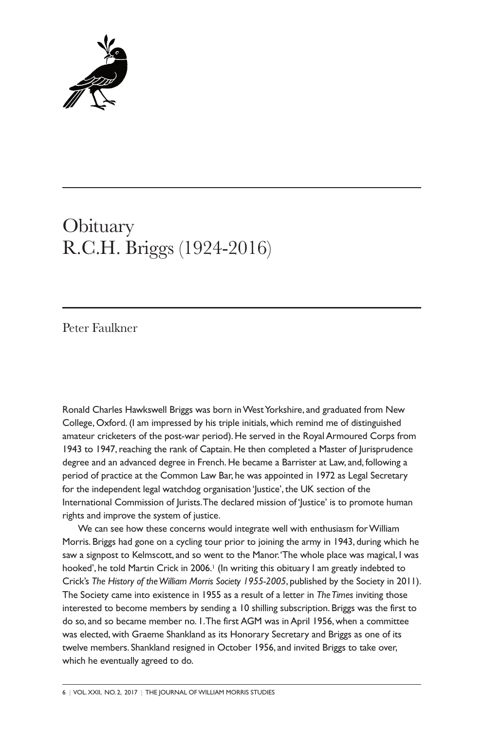

## **Obituary** R.C.H. Briggs (1924-2016)

Peter Faulkner

Ronald Charles Hawkswell Briggs was born in West Yorkshire, and graduated from New College, Oxford.(I am impressed by his triple initials, which remind me of distinguished amateur cricketers of the post-war period). He served in the Royal Armoured Corps from 1943 to 1947, reaching the rank of Captain. He then completed a Master of Jurisprudence degree and an advanced degree in French. He became a Barrister at Law, and, following a period of practice at the Common Law Bar, he was appointed in 1972 as Legal Secretary for the independent legal watchdog organisation 'Justice', the UK section of the International Commission of Jurists.The declared mission of 'Justice' is to promote human rights and improve the system of justice.

We can see how these concerns would integrate well with enthusiasm for William Morris. Briggs had gone on a cycling tour prior to joining the army in 1943, during which he saw a signpost to Kelmscott, and so went to the Manor.'The whole place was magical, I was hooked', he told Martin Crick in 2006. <sup>1</sup> (In writing this obituary I am greatly indebted to Crick's *The History of theWilliam Morris Society 1955-2005*, published by the Society in 2011). The Society came into existence in 1955 as a result of a letter in *TheTimes* inviting those interested to become members by sending a 10 shilling subscription. Briggs was the first to do so, and so became member no. 1.The first AGM was inApril 1956, when a committee was elected, with Graeme Shankland as its Honorary Secretary and Briggs as one of its twelve members. Shankland resigned in October 1956, and invited Briggs to take over, which he eventually agreed to do.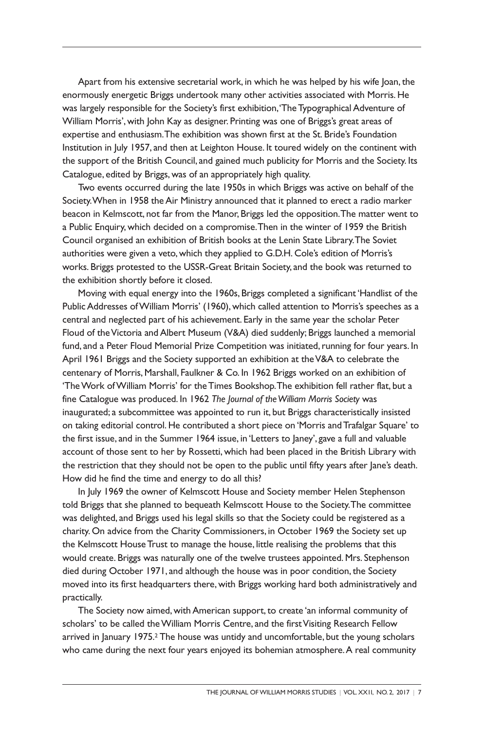Apart from his extensive secretarial work, in which he was helped by his wife Joan, the enormously energetic Briggs undertook many other activities associated with Morris. He was largely responsible for the Society's first exhibition, 'The Typographical Adventure of William Morris', with John Kay as designer. Printing was one of Briggs's great areas of expertise and enthusiasm.The exhibition was shown first at the St. Bride's Foundation Institution in July 1957, and then at Leighton House. It toured widely on the continent with the support of the British Council, and gained much publicity for Morris and the Society. Its Catalogue, edited by Briggs, was of an appropriately high quality.

Two events occurred during the late 1950s in which Briggs was active on behalf of the Society. When in 1958 the Air Ministry announced that it planned to erect a radio marker beacon in Kelmscott, not far from the Manor, Briggs led the opposition.The matter went to a Public Enquiry, which decided on a compromise.Then in the winter of 1959 the British Council organised an exhibition of British books at the Lenin State Library.The Soviet authorities were given a veto, which they applied to G.D.H. Cole's edition of Morris's works. Briggs protested to the USSR-Great Britain Society, and the book was returned to the exhibition shortly before it closed.

Moving with equal energy into the 1960s, Briggs completed a significant'Handlist of the PublicAddresses ofWilliam Morris' (1960), which called attention to Morris's speeches as a central and neglected part of his achievement. Early in the same year the scholar Peter Floud of the Victoria and Albert Museum (V&A) died suddenly; Briggs launched a memorial fund, and a Peter Floud Memorial Prize Competition was initiated, running for four years. In April 1961 Briggs and the Society supported an exhibition at theV&A to celebrate the centenary of Morris, Marshall, Faulkner & Co. In 1962 Briggs worked on an exhibition of 'TheWork ofWilliam Morris' for theTimes Bookshop.The exhibition fell rather flat, but a fine Catalogue was produced. In 1962 *The Journal of theWilliam Morris Society* was inaugurated; a subcommittee was appointed to run it, but Briggs characteristically insisted on taking editorial control. He contributed a short piece on 'Morris and Trafalgar Square' to the first issue, and in the Summer 1964 issue, in 'Letters to Janey', gave a full and valuable account of those sent to her by Rossetti, which had been placed in the British Library with the restriction that they should not be open to the public until fifty years after Jane's death. How did he find the time and energy to do all this?

In July 1969 the owner of Kelmscott House and Society member Helen Stephenson told Briggs that she planned to bequeath Kelmscott House to the Society.The committee was delighted, and Briggs used his legal skills so that the Society could be registered as a charity. On advice from the Charity Commissioners, in October 1969 the Society set up the Kelmscott House Trust to manage the house, little realising the problems that this would create. Briggs was naturally one of the twelve trustees appointed. Mrs. Stephenson died during October 1971, and although the house was in poor condition, the Society moved into its first headquarters there, with Briggs working hard both administratively and practically.

The Society now aimed, with American support, to create 'an informal community of scholars' to be called the William Morris Centre, and the first Visiting Research Fellow arrived in January 1975. <sup>2</sup> The house was untidy and uncomfortable, but the young scholars who came during the next four years enjoyed its bohemian atmosphere.A real community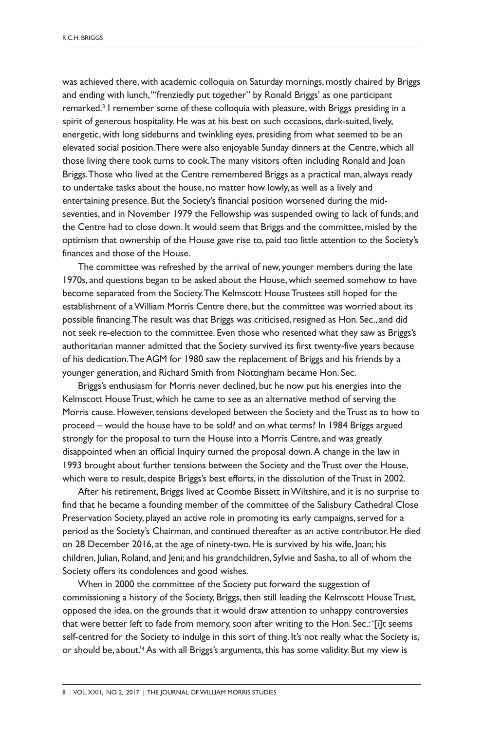was achieved there, with academic colloquia on Saturday mornings, mostly chaired by Briggs and ending with lunch,'"frenziedly put together" by Ronald Briggs' as one participant remarked. <sup>3</sup> I remember some of these colloquia with pleasure, with Briggs presiding in a spirit of generous hospitality. He was at his best on such occasions, dark-suited, lively, energetic, with long sideburns and twinkling eyes, presiding from what seemed to be an elevated social position.There were also enjoyable Sunday dinners at the Centre, which all those living there took turns to cook.The many visitors often including Ronald and Joan Briggs.Those who lived at the Centre remembered Briggs as a practical man, always ready to undertake tasks about the house, no matter how lowly, as well as a lively and entertaining presence. But the Society's financial position worsened during the midseventies, and in November 1979 the Fellowship was suspended owing to lack of funds, and the Centre had to close down. It would seem that Briggs and the committee, misled by the optimism that ownership of the House gave rise to, paid too little attention to the Society's finances and those of the House.

The committee was refreshed by the arrival of new, younger members during the late 1970s, and questions began to be asked about the House, which seemed somehow to have become separated from the Society. The Kelmscott House Trustees still hoped for the establishment of aWilliam Morris Centre there, but the committee was worried about its possible financing. The result was that Briggs was criticised, resigned as Hon. Sec., and did not seek re-election to the committee. Even those who resented what they saw as Briggs's authoritarian manner admitted that the Society survived its first twenty-five years because of his dedication. The AGM for 1980 saw the replacement of Briggs and his friends by a younger generation, and Richard Smith from Nottingham became Hon. Sec.

Briggs's enthusiasm for Morris never declined, but he now put his energies into the Kelmscott House Trust, which he came to see as an alternative method of serving the Morris cause. However,tensions developed between the Society and theTrust as to how to proceed – would the house have to be sold? and on what terms? In 1984 Briggs argued strongly for the proposal to turn the House into a Morris Centre, and was greatly disappointed when an official Inquiry turned the proposal down.A change in the law in 1993 brought about further tensions between the Society and the Trust over the House, which were to result, despite Briggs's best efforts, in the dissolution of the Trust in 2002.

After his retirement, Briggs lived at Coombe Bissett inWiltshire, and it is no surprise to find that he became a founding member of the committee of the Salisbury Cathedral Close Preservation Society, played an active role in promoting its early campaigns, served for a period as the Society's Chairman, and continued thereafter as an active contributor. He died on 28 December 2016, at the age of ninety-two. He is survived by his wife, Joan; his children, Julian, Roland, and Jeni; and his grandchildren, Sylvie and Sasha, to all of whom the Society offers its condolences and good wishes.

When in 2000 the committee of the Society put forward the suggestion of commissioning a history of the Society, Briggs, then still leading the Kelmscott House Trust, opposed the idea, on the grounds that it would draw attention to unhappy controversies that were better left to fade from memory, soon after writing to the Hon. Sec.: '[i]t seems self-centred for the Society to indulge in this sort of thing. It's not really what the Society is, or should be, about.' 4As with all Briggs's arguments,this has some validity. But my view is